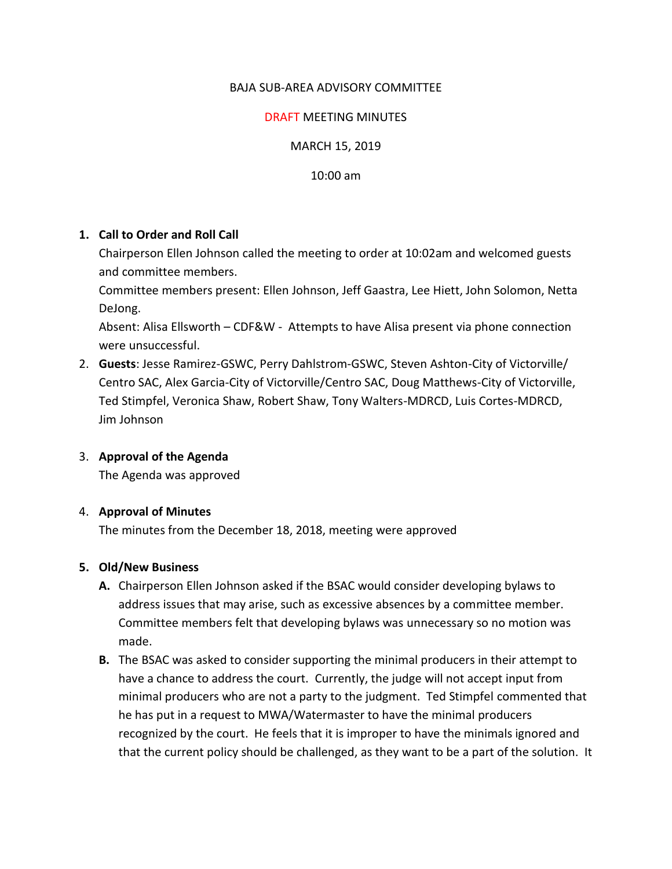# BAJA SUB-AREA ADVISORY COMMITTEE

## DRAFT MEETING MINUTES

MARCH 15, 2019

10:00 am

## **1. Call to Order and Roll Call**

Chairperson Ellen Johnson called the meeting to order at 10:02am and welcomed guests and committee members.

Committee members present: Ellen Johnson, Jeff Gaastra, Lee Hiett, John Solomon, Netta DeJong.

Absent: Alisa Ellsworth – CDF&W - Attempts to have Alisa present via phone connection were unsuccessful.

2. **Guests**: Jesse Ramirez-GSWC, Perry Dahlstrom-GSWC, Steven Ashton-City of Victorville/ Centro SAC, Alex Garcia-City of Victorville/Centro SAC, Doug Matthews-City of Victorville, Ted Stimpfel, Veronica Shaw, Robert Shaw, Tony Walters-MDRCD, Luis Cortes-MDRCD, Jim Johnson

## 3. **Approval of the Agenda**

The Agenda was approved

## 4. **Approval of Minutes**

The minutes from the December 18, 2018, meeting were approved

## **5. Old/New Business**

- **A.** Chairperson Ellen Johnson asked if the BSAC would consider developing bylaws to address issues that may arise, such as excessive absences by a committee member. Committee members felt that developing bylaws was unnecessary so no motion was made.
- **B.** The BSAC was asked to consider supporting the minimal producers in their attempt to have a chance to address the court. Currently, the judge will not accept input from minimal producers who are not a party to the judgment. Ted Stimpfel commented that he has put in a request to MWA/Watermaster to have the minimal producers recognized by the court. He feels that it is improper to have the minimals ignored and that the current policy should be challenged, as they want to be a part of the solution. It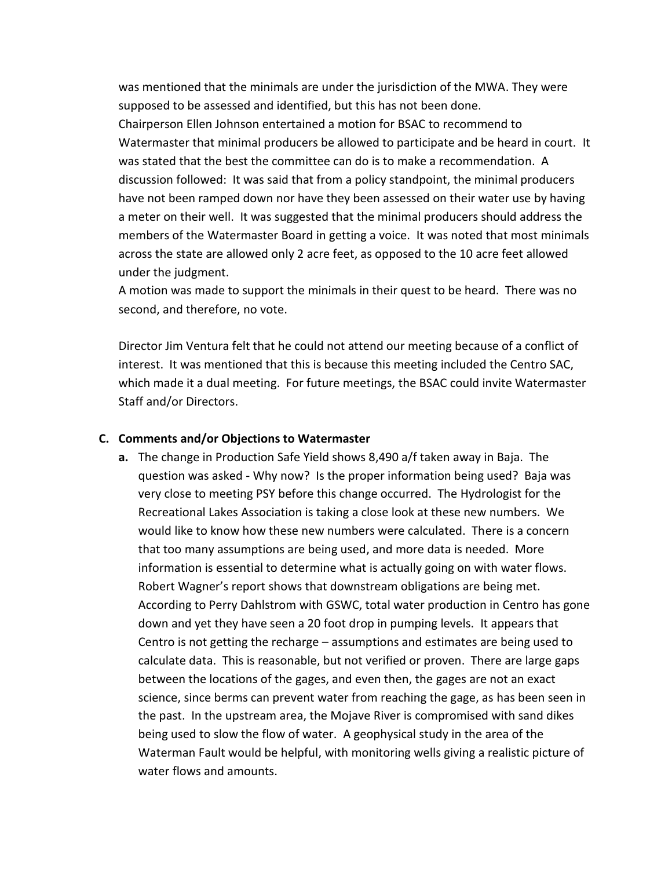was mentioned that the minimals are under the jurisdiction of the MWA. They were supposed to be assessed and identified, but this has not been done. Chairperson Ellen Johnson entertained a motion for BSAC to recommend to Watermaster that minimal producers be allowed to participate and be heard in court. It was stated that the best the committee can do is to make a recommendation. A discussion followed: It was said that from a policy standpoint, the minimal producers have not been ramped down nor have they been assessed on their water use by having a meter on their well. It was suggested that the minimal producers should address the members of the Watermaster Board in getting a voice. It was noted that most minimals across the state are allowed only 2 acre feet, as opposed to the 10 acre feet allowed under the judgment.

A motion was made to support the minimals in their quest to be heard. There was no second, and therefore, no vote.

Director Jim Ventura felt that he could not attend our meeting because of a conflict of interest. It was mentioned that this is because this meeting included the Centro SAC, which made it a dual meeting. For future meetings, the BSAC could invite Watermaster Staff and/or Directors.

### **C. Comments and/or Objections to Watermaster**

**a.** The change in Production Safe Yield shows 8,490 a/f taken away in Baja. The question was asked - Why now? Is the proper information being used? Baja was very close to meeting PSY before this change occurred. The Hydrologist for the Recreational Lakes Association is taking a close look at these new numbers. We would like to know how these new numbers were calculated. There is a concern that too many assumptions are being used, and more data is needed. More information is essential to determine what is actually going on with water flows. Robert Wagner's report shows that downstream obligations are being met. According to Perry Dahlstrom with GSWC, total water production in Centro has gone down and yet they have seen a 20 foot drop in pumping levels. It appears that Centro is not getting the recharge – assumptions and estimates are being used to calculate data. This is reasonable, but not verified or proven. There are large gaps between the locations of the gages, and even then, the gages are not an exact science, since berms can prevent water from reaching the gage, as has been seen in the past. In the upstream area, the Mojave River is compromised with sand dikes being used to slow the flow of water. A geophysical study in the area of the Waterman Fault would be helpful, with monitoring wells giving a realistic picture of water flows and amounts.